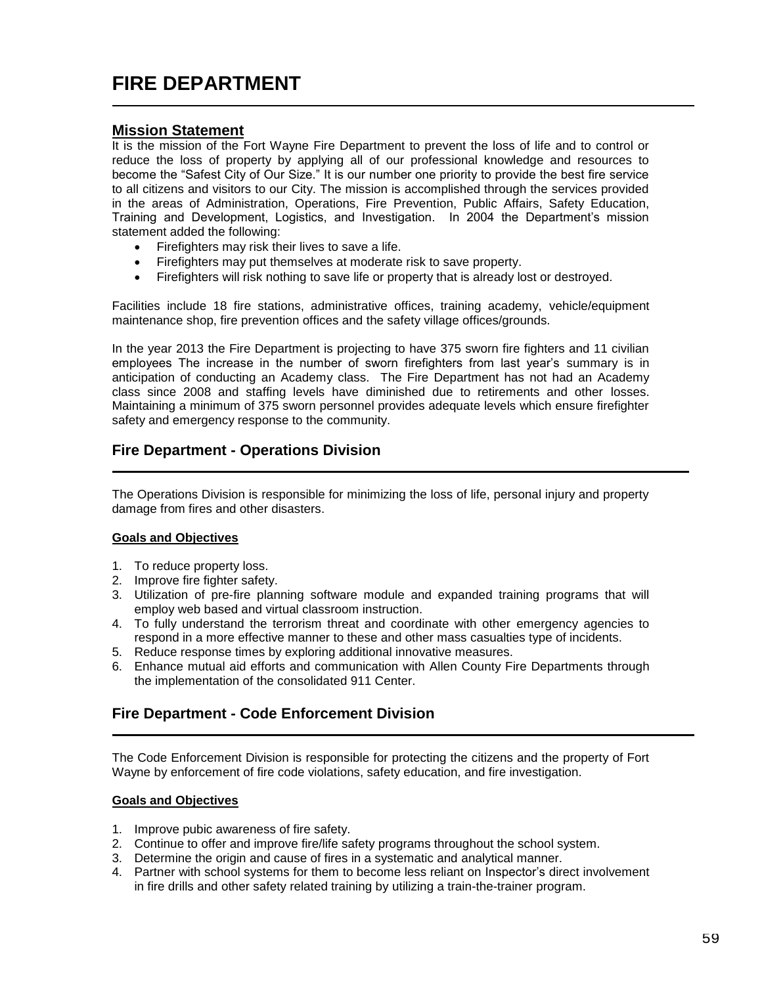# **FIRE DEPARTMENT**

### **Mission Statement**

It is the mission of the Fort Wayne Fire Department to prevent the loss of life and to control or reduce the loss of property by applying all of our professional knowledge and resources to become the "Safest City of Our Size." It is our number one priority to provide the best fire service to all citizens and visitors to our City. The mission is accomplished through the services provided in the areas of Administration, Operations, Fire Prevention, Public Affairs, Safety Education, Training and Development, Logistics, and Investigation. In 2004 the Department's mission statement added the following:

- Firefighters may risk their lives to save a life.
- Firefighters may put themselves at moderate risk to save property.
- Firefighters will risk nothing to save life or property that is already lost or destroyed.

Facilities include 18 fire stations, administrative offices, training academy, vehicle/equipment maintenance shop, fire prevention offices and the safety village offices/grounds.

In the year 2013 the Fire Department is projecting to have 375 sworn fire fighters and 11 civilian employees The increase in the number of sworn firefighters from last year's summary is in anticipation of conducting an Academy class. The Fire Department has not had an Academy class since 2008 and staffing levels have diminished due to retirements and other losses. Maintaining a minimum of 375 sworn personnel provides adequate levels which ensure firefighter safety and emergency response to the community.

# **Fire Department - Operations Division**

The Operations Division is responsible for minimizing the loss of life, personal injury and property damage from fires and other disasters.

#### **Goals and Objectives**

- 1. To reduce property loss.
- 2. Improve fire fighter safety.
- 3. Utilization of pre-fire planning software module and expanded training programs that will employ web based and virtual classroom instruction.
- 4. To fully understand the terrorism threat and coordinate with other emergency agencies to respond in a more effective manner to these and other mass casualties type of incidents.
- 5. Reduce response times by exploring additional innovative measures.
- 6. Enhance mutual aid efforts and communication with Allen County Fire Departments through the implementation of the consolidated 911 Center.

### **Fire Department - Code Enforcement Division**

The Code Enforcement Division is responsible for protecting the citizens and the property of Fort Wayne by enforcement of fire code violations, safety education, and fire investigation.

#### **Goals and Objectives**

- 1. Improve pubic awareness of fire safety.
- 2. Continue to offer and improve fire/life safety programs throughout the school system.
- 3. Determine the origin and cause of fires in a systematic and analytical manner.
- 4. Partner with school systems for them to become less reliant on Inspector's direct involvement in fire drills and other safety related training by utilizing a train-the-trainer program.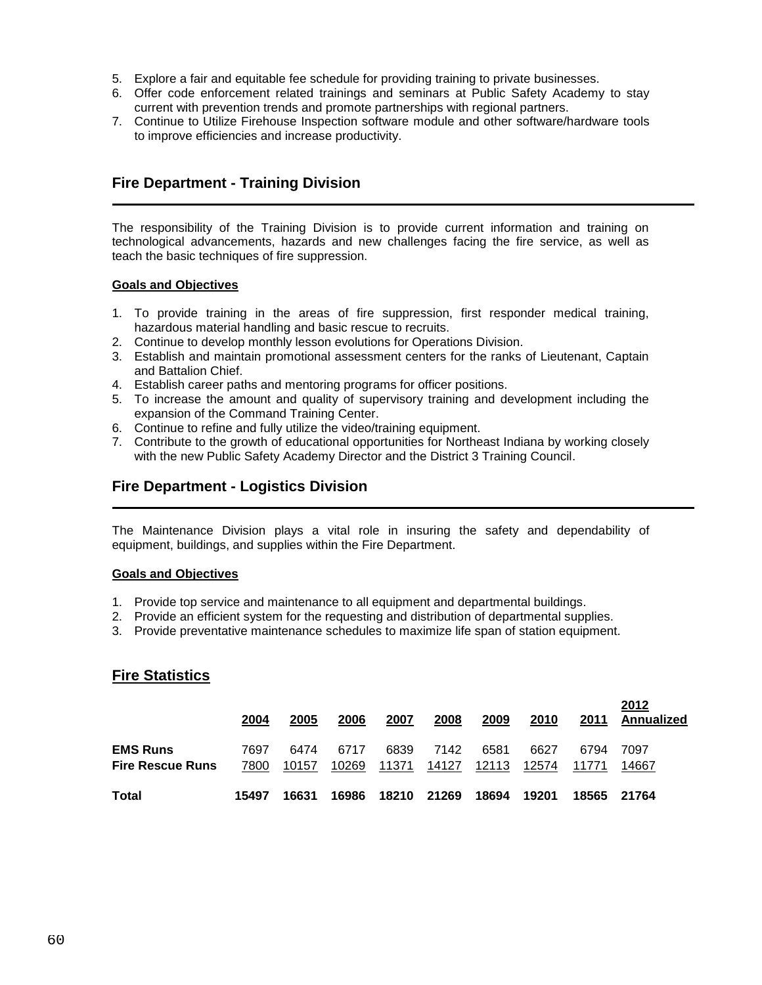- 5. Explore a fair and equitable fee schedule for providing training to private businesses.
- 6. Offer code enforcement related trainings and seminars at Public Safety Academy to stay current with prevention trends and promote partnerships with regional partners.
- 7. Continue to Utilize Firehouse Inspection software module and other software/hardware tools to improve efficiencies and increase productivity.

# **Fire Department - Training Division**

The responsibility of the Training Division is to provide current information and training on technological advancements, hazards and new challenges facing the fire service, as well as teach the basic techniques of fire suppression.

#### **Goals and Objectives**

- 1. To provide training in the areas of fire suppression, first responder medical training, hazardous material handling and basic rescue to recruits.
- 2. Continue to develop monthly lesson evolutions for Operations Division.
- 3. Establish and maintain promotional assessment centers for the ranks of Lieutenant, Captain and Battalion Chief.
- 4. Establish career paths and mentoring programs for officer positions.
- 5. To increase the amount and quality of supervisory training and development including the expansion of the Command Training Center.
- 6. Continue to refine and fully utilize the video/training equipment.
- 7. Contribute to the growth of educational opportunities for Northeast Indiana by working closely with the new Public Safety Academy Director and the District 3 Training Council.

# **Fire Department - Logistics Division**

The Maintenance Division plays a vital role in insuring the safety and dependability of equipment, buildings, and supplies within the Fire Department.

#### **Goals and Objectives**

- 1. Provide top service and maintenance to all equipment and departmental buildings.
- 2. Provide an efficient system for the requesting and distribution of departmental supplies.
- 3. Provide preventative maintenance schedules to maximize life span of station equipment.

### **Fire Statistics**

|                                            | 2004         | 2005          | 2006          | 2007          | 2008          | 2009          | 2010          | 2011          | 2012<br>Annualized |
|--------------------------------------------|--------------|---------------|---------------|---------------|---------------|---------------|---------------|---------------|--------------------|
| <b>EMS Runs</b><br><b>Fire Rescue Runs</b> | 7697<br>7800 | 6474<br>10157 | 6717<br>10269 | 6839<br>11371 | 7142<br>14127 | 6581<br>12113 | 6627<br>12574 | 6794<br>11771 | 7097<br>14667      |
| Total                                      | 15497        | 16631         | 16986         | 18210         | 21269         | 18694         | 19201         | 18565         | 21764              |

**2012**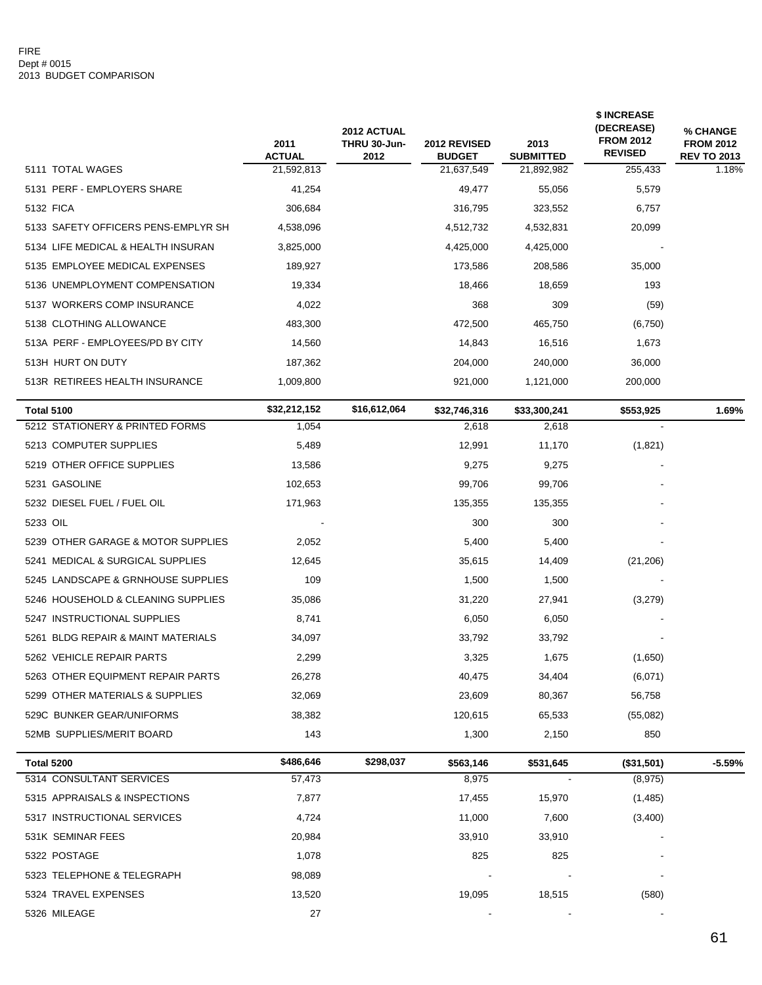|                                     | 2011<br><b>ACTUAL</b> | 2012 ACTUAL<br>THRU 30-Jun-<br>2012 | <b>2012 REVISED</b>         | 2013<br><b>SUBMITTED</b> | \$ INCREASE<br>(DECREASE)<br><b>FROM 2012</b><br><b>REVISED</b> | <b>% CHANGE</b><br><b>FROM 2012</b><br><b>REV TO 2013</b> |
|-------------------------------------|-----------------------|-------------------------------------|-----------------------------|--------------------------|-----------------------------------------------------------------|-----------------------------------------------------------|
| 5111 TOTAL WAGES                    | 21,592,813            |                                     | <b>BUDGET</b><br>21,637,549 | 21,892,982               | 255,433                                                         | 1.18%                                                     |
| 5131 PERF - EMPLOYERS SHARE         | 41,254                |                                     | 49,477                      | 55,056                   | 5,579                                                           |                                                           |
| 5132 FICA                           | 306,684               |                                     | 316,795                     | 323,552                  | 6,757                                                           |                                                           |
| 5133 SAFETY OFFICERS PENS-EMPLYR SH | 4,538,096             |                                     | 4,512,732                   | 4,532,831                | 20,099                                                          |                                                           |
| 5134 LIFE MEDICAL & HEALTH INSURAN  | 3,825,000             |                                     | 4,425,000                   | 4,425,000                |                                                                 |                                                           |
| 5135 EMPLOYEE MEDICAL EXPENSES      | 189,927               |                                     | 173,586                     | 208,586                  | 35,000                                                          |                                                           |
| 5136 UNEMPLOYMENT COMPENSATION      | 19,334                |                                     | 18,466                      | 18,659                   | 193                                                             |                                                           |
| 5137 WORKERS COMP INSURANCE         | 4,022                 |                                     | 368                         | 309                      | (59)                                                            |                                                           |
| 5138 CLOTHING ALLOWANCE             | 483,300               |                                     | 472,500                     | 465,750                  | (6,750)                                                         |                                                           |
| 513A PERF - EMPLOYEES/PD BY CITY    | 14,560                |                                     | 14,843                      | 16,516                   | 1,673                                                           |                                                           |
| 513H HURT ON DUTY                   | 187,362               |                                     | 204,000                     | 240,000                  | 36,000                                                          |                                                           |
| 513R RETIREES HEALTH INSURANCE      | 1,009,800             |                                     | 921,000                     | 1,121,000                | 200,000                                                         |                                                           |
| <b>Total 5100</b>                   | \$32,212,152          | \$16,612,064                        | \$32,746,316                | \$33,300,241             | \$553,925                                                       | 1.69%                                                     |
| 5212 STATIONERY & PRINTED FORMS     | 1,054                 |                                     | 2,618                       | 2,618                    |                                                                 |                                                           |
| 5213 COMPUTER SUPPLIES              | 5,489                 |                                     | 12,991                      | 11,170                   | (1,821)                                                         |                                                           |
| 5219 OTHER OFFICE SUPPLIES          | 13,586                |                                     | 9,275                       | 9,275                    |                                                                 |                                                           |
| 5231 GASOLINE                       | 102,653               |                                     | 99,706                      | 99,706                   |                                                                 |                                                           |
| 5232 DIESEL FUEL / FUEL OIL         | 171,963               |                                     | 135,355                     | 135,355                  |                                                                 |                                                           |
| 5233 OIL                            |                       |                                     | 300                         | 300                      |                                                                 |                                                           |
| 5239 OTHER GARAGE & MOTOR SUPPLIES  | 2,052                 |                                     | 5,400                       | 5,400                    |                                                                 |                                                           |
| 5241 MEDICAL & SURGICAL SUPPLIES    | 12,645                |                                     | 35,615                      | 14,409                   | (21, 206)                                                       |                                                           |
| 5245 LANDSCAPE & GRNHOUSE SUPPLIES  | 109                   |                                     | 1,500                       | 1,500                    |                                                                 |                                                           |
| 5246 HOUSEHOLD & CLEANING SUPPLIES  | 35,086                |                                     | 31,220                      | 27,941                   | (3,279)                                                         |                                                           |
| 5247 INSTRUCTIONAL SUPPLIES         | 8,741                 |                                     | 6,050                       | 6,050                    |                                                                 |                                                           |
| 5261 BLDG REPAIR & MAINT MATERIALS  | 34,097                |                                     | 33,792                      | 33,792                   |                                                                 |                                                           |
| 5262 VEHICLE REPAIR PARTS           | 2,299                 |                                     | 3,325                       | 1,675                    | (1,650)                                                         |                                                           |
| 5263 OTHER EQUIPMENT REPAIR PARTS   | 26,278                |                                     | 40,475                      | 34,404                   | (6,071)                                                         |                                                           |
| 5299 OTHER MATERIALS & SUPPLIES     | 32,069                |                                     | 23,609                      | 80,367                   | 56,758                                                          |                                                           |
| 529C BUNKER GEAR/UNIFORMS           | 38,382                |                                     | 120,615                     | 65,533                   | (55,082)                                                        |                                                           |
| 52MB SUPPLIES/MERIT BOARD           | 143                   |                                     | 1,300                       | 2,150                    | 850                                                             |                                                           |
| Total 5200                          | \$486,646             | \$298,037                           | \$563,146                   | \$531,645                | (\$31,501)                                                      | $-5.59%$                                                  |
| 5314 CONSULTANT SERVICES            | 57,473                |                                     | 8,975                       |                          | (8, 975)                                                        |                                                           |
| 5315 APPRAISALS & INSPECTIONS       | 7,877                 |                                     | 17,455                      | 15,970                   | (1,485)                                                         |                                                           |
| 5317 INSTRUCTIONAL SERVICES         | 4,724                 |                                     | 11,000                      | 7,600                    | (3,400)                                                         |                                                           |
| 531K SEMINAR FEES                   | 20,984                |                                     | 33,910                      | 33,910                   |                                                                 |                                                           |
| 5322 POSTAGE                        | 1,078                 |                                     | 825                         | 825                      |                                                                 |                                                           |
| 5323 TELEPHONE & TELEGRAPH          | 98,089                |                                     |                             |                          |                                                                 |                                                           |
| 5324 TRAVEL EXPENSES                | 13,520                |                                     | 19,095                      | 18,515                   | (580)                                                           |                                                           |
| 5326 MILEAGE                        | 27                    |                                     |                             |                          |                                                                 |                                                           |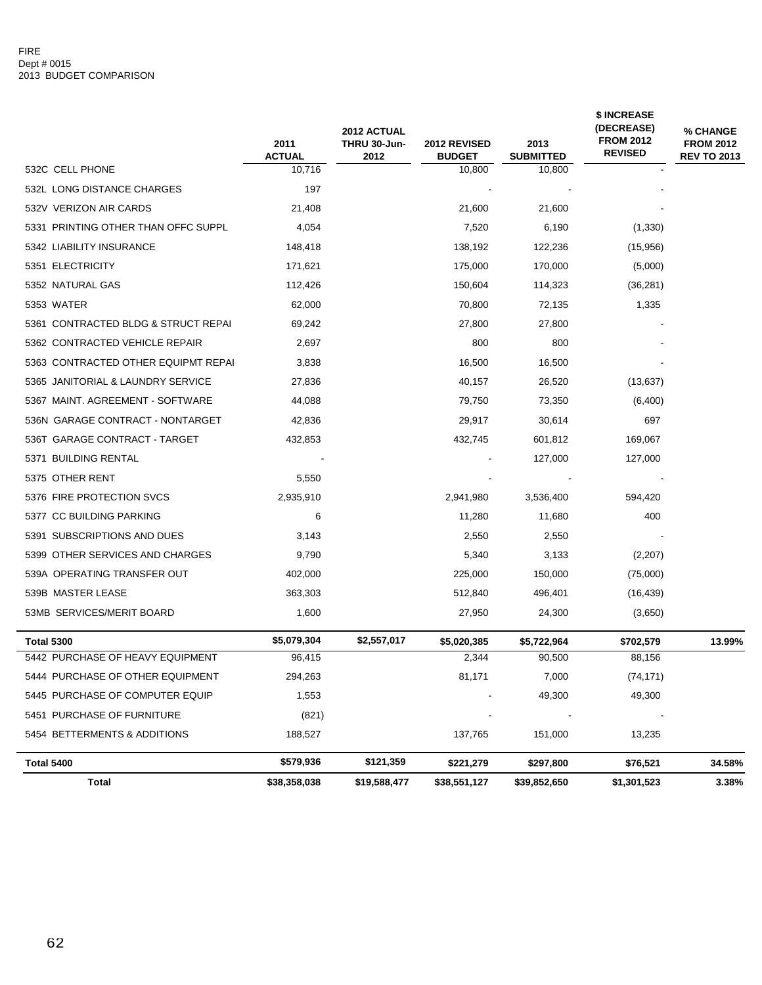|                                     | 2011<br><b>ACTUAL</b> | 2012 ACTUAL<br>THRU 30-Jun-<br>2012 | <b>2012 REVISED</b><br><b>BUDGET</b> | 2013<br><b>SUBMITTED</b> | \$ INCREASE<br>(DECREASE)<br><b>FROM 2012</b><br><b>REVISED</b> | % CHANGE<br><b>FROM 2012</b><br><b>REV TO 2013</b> |
|-------------------------------------|-----------------------|-------------------------------------|--------------------------------------|--------------------------|-----------------------------------------------------------------|----------------------------------------------------|
| 532C CELL PHONE                     | 10,716                |                                     | 10,800                               | 10,800                   |                                                                 |                                                    |
| 532L LONG DISTANCE CHARGES          | 197                   |                                     |                                      |                          |                                                                 |                                                    |
| 532V VERIZON AIR CARDS              | 21,408                |                                     | 21,600                               | 21,600                   |                                                                 |                                                    |
| 5331 PRINTING OTHER THAN OFFC SUPPL | 4,054                 |                                     | 7,520                                | 6,190                    | (1, 330)                                                        |                                                    |
| 5342 LIABILITY INSURANCE            | 148,418               |                                     | 138,192                              | 122,236                  | (15,956)                                                        |                                                    |
| 5351 ELECTRICITY                    | 171,621               |                                     | 175,000                              | 170,000                  | (5,000)                                                         |                                                    |
| 5352 NATURAL GAS                    | 112,426               |                                     | 150,604                              | 114,323                  | (36, 281)                                                       |                                                    |
| 5353 WATER                          | 62,000                |                                     | 70,800                               | 72,135                   | 1,335                                                           |                                                    |
| 5361 CONTRACTED BLDG & STRUCT REPAI | 69,242                |                                     | 27,800                               | 27,800                   |                                                                 |                                                    |
| 5362 CONTRACTED VEHICLE REPAIR      | 2,697                 |                                     | 800                                  | 800                      |                                                                 |                                                    |
| 5363 CONTRACTED OTHER EQUIPMT REPAI | 3,838                 |                                     | 16,500                               | 16,500                   |                                                                 |                                                    |
| 5365 JANITORIAL & LAUNDRY SERVICE   | 27,836                |                                     | 40,157                               | 26,520                   | (13, 637)                                                       |                                                    |
| 5367 MAINT. AGREEMENT - SOFTWARE    | 44,088                |                                     | 79,750                               | 73,350                   | (6,400)                                                         |                                                    |
| 536N GARAGE CONTRACT - NONTARGET    | 42,836                |                                     | 29,917                               | 30,614                   | 697                                                             |                                                    |
| 536T GARAGE CONTRACT - TARGET       | 432,853               |                                     | 432,745                              | 601,812                  | 169,067                                                         |                                                    |
| 5371 BUILDING RENTAL                |                       |                                     |                                      | 127,000                  | 127,000                                                         |                                                    |
| 5375 OTHER RENT                     | 5,550                 |                                     |                                      |                          |                                                                 |                                                    |
| 5376 FIRE PROTECTION SVCS           | 2,935,910             |                                     | 2,941,980                            | 3,536,400                | 594,420                                                         |                                                    |
| 5377 CC BUILDING PARKING            | 6                     |                                     | 11,280                               | 11,680                   | 400                                                             |                                                    |
| 5391 SUBSCRIPTIONS AND DUES         | 3,143                 |                                     | 2,550                                | 2,550                    |                                                                 |                                                    |
| 5399 OTHER SERVICES AND CHARGES     | 9,790                 |                                     | 5,340                                | 3,133                    | (2,207)                                                         |                                                    |
| 539A OPERATING TRANSFER OUT         | 402,000               |                                     | 225,000                              | 150,000                  | (75,000)                                                        |                                                    |
| 539B MASTER LEASE                   | 363,303               |                                     | 512,840                              | 496,401                  | (16, 439)                                                       |                                                    |
| 53MB SERVICES/MERIT BOARD           | 1,600                 |                                     | 27,950                               | 24,300                   | (3,650)                                                         |                                                    |
| <b>Total 5300</b>                   | \$5,079,304           | \$2,557,017                         | \$5,020,385                          | \$5,722,964              | \$702,579                                                       | 13.99%                                             |
| 5442 PURCHASE OF HEAVY EQUIPMENT    | 96,415                |                                     | 2,344                                | 90,500                   | 88,156                                                          |                                                    |
| 5444 PURCHASE OF OTHER EQUIPMENT    | 294,263               |                                     | 81,171                               | 7,000                    | (74, 171)                                                       |                                                    |
| 5445 PURCHASE OF COMPUTER EQUIP     | 1,553                 |                                     |                                      | 49,300                   | 49,300                                                          |                                                    |
| 5451 PURCHASE OF FURNITURE          | (821)                 |                                     |                                      |                          |                                                                 |                                                    |
| 5454 BETTERMENTS & ADDITIONS        | 188,527               |                                     | 137,765                              | 151,000                  | 13,235                                                          |                                                    |
| Total 5400                          | \$579,936             | \$121,359                           | \$221,279                            | \$297,800                | \$76,521                                                        | 34.58%                                             |
| <b>Total</b>                        | \$38,358,038          | \$19,588,477                        | \$38,551,127                         | \$39,852,650             | \$1,301,523                                                     | 3.38%                                              |